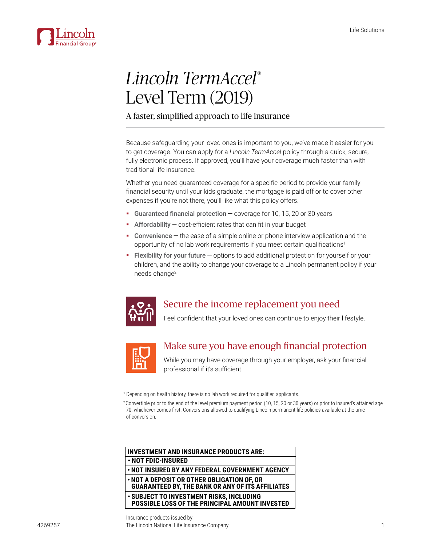

# *Lincoln TermAccel*® Level Term (2019)

#### A faster, simplified approach to life insurance

Because safeguarding your loved ones is important to you, we've made it easier for you to get coverage. You can apply for a *Lincoln TermAccel* policy through a quick, secure, fully electronic process. If approved, you'll have your coverage much faster than with traditional life insurance.

Whether you need quaranteed coverage for a specific period to provide your family financial security until your kids graduate, the mortgage is paid off or to cover other expenses if you're not there, you'll like what this policy offers.

- $\blacksquare$  Guaranteed financial protection  $\sim$  coverage for 10, 15, 20 or 30 years
- **Affordability**  $-\text{cost-efficient rates}$  that can fit in your budget
- $\blacksquare$  Convenience  $-$  the ease of a simple online or phone interview application and the opportunity of no lab work requirements if you meet certain qualifications<sup>1</sup>
- **Flexibility for your future**  $-\theta$  options to add additional protection for yourself or your children, and the ability to change your coverage to a Lincoln permanent policy if your needs change



### Secure the income replacement you need

Feel confident that your loved ones can continue to enjoy their lifestyle.



### Make sure you have enough financial protection

While you may have coverage through your employer, ask your financial professional if it's sufficient.

<sup>1</sup> Depending on health history, there is no lab work required for qualified applicants.

2 Convertible prior to the end of the level premium payment period (10, 15, 20 or 30 years) or prior to insured's attained age 70, whichever comes first. Conversions allowed to qualifying Lincoln permanent life policies available at the time of conversion.

| <b>INVESTMENT AND INSURANCE PRODUCTS ARE:</b>                                                         |
|-------------------------------------------------------------------------------------------------------|
| . NOT FDIC-INSURED                                                                                    |
| . NOT INSURED BY ANY FEDERAL GOVERNMENT AGENCY                                                        |
| . NOT A DEPOSIT OR OTHER OBLIGATION OF, OR<br><b>GUARANTEED BY, THE BANK OR ANY OF ITS AFFILIATES</b> |
| • SUBJECT TO INVESTMENT RISKS, INCLUDING<br>POSSIBLE LOSS OF THE PRINCIPAL AMOUNT INVESTED            |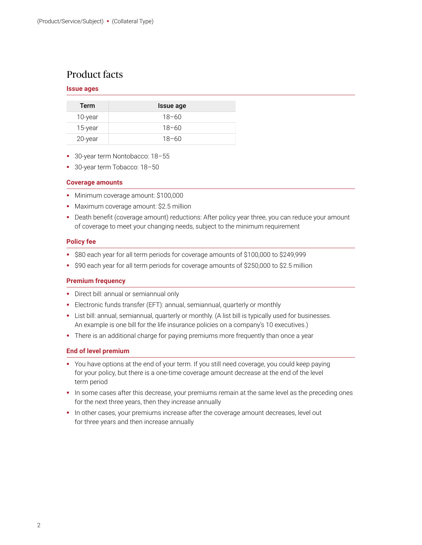### Product facts

#### **Issue ages**

| Term    | Issue age |
|---------|-----------|
| 10-year | $18 - 60$ |
| 15-year | $18 - 60$ |
| 20-year | $18 - 60$ |

- **30-year term Nontobacco: 18-55**
- <sup>3</sup> 30-year term Tobacco: 18-50

#### **Coverage amounts**

- Minimum coverage amount: \$100,000
- Maximum coverage amount: \$2.5 million
- Death benefit (coverage amount) reductions: After policy year three, you can reduce your amount of coverage to meet your changing needs, subject to the minimum requirement

#### **Policy fee**

- S80 each year for all term periods for coverage amounts of \$100,000 to \$249,999
- S90 each year for all term periods for coverage amounts of \$250,000 to \$2.5 million

#### **Premium frequency**

- Direct bill: annual or semiannual only
- Electronic funds transfer (EFT): annual, semiannual, quarterly or monthly
- List bill: annual, semiannual, quarterly or monthly. (A list bill is typically used for businesses. An example is one bill for the life insurance policies on a company's 10 executives.)
- There is an additional charge for paying premiums more frequently than once a year

#### **End of level premium**

- You have options at the end of your term. If you still need coverage, you could keep paying for your policy, but there is a one-time coverage amount decrease at the end of the level term period
- In some cases after this decrease, your premiums remain at the same level as the preceding ones for the next three years, then they increase annually
- **In other cases, your premiums increase after the coverage amount decreases, level out** for three years and then increase annually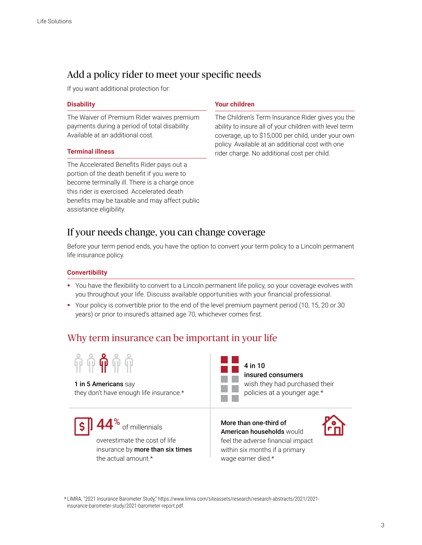### Add a policy rider to meet your specific needs

If you want additional protection for:

#### **Disability**

The Waiver of Premium Rider waives premium payments during a period of total disability. Available at an additional cost.

#### **Terminal illness**

The Accelerated Benefits Rider pays out a portion of the death benefit if you were to become terminally ill. There is a charge once this rider is exercised. Accelerated death benefits may be taxable and may affect public assistance eligibility.

#### **Your children**

The Children's Term Insurance Rider gives you the ability to insure all of your children with level term coverage, up to \$15,000 per child, under your own policy. Available at an additional cost with one rider charge. No additional cost per child.

### If your needs change, you can change coverage

Before your term period ends, you have the option to convert your term policy to a Lincoln permanent life insurance policy.

#### **Convertibility**

- " You have the flexibility to convert to a Lincoln permanent life policy, so your coverage evolves with you throughout your life. Discuss available opportunities with your financial professional.
- Your policy is convertible prior to the end of the level premium payment period (10, 15, 20 or 30 years) or prior to insured's attained age 70, whichever comes first.

### Why term insurance can be important in your life



#### 1 in 5 Americans say

they don't have enough life insurance.\*

44<sup>%</sup> of millennials overestimate the cost of life

insurance by more than  $six$  times the actual amount.\*

More than one-third of **American households would** feel the adverse financial impact within six months if a primary wage earner died.\*

insured consumers

wish they had purchased their policies at a younger age.\*

4 in 10



\* LIMRA, "2021 Insurance Barometer Study," https://www.limra.com/siteassets/research/research-abstracts/2021/2021insurance-barometer-study/2021-barometer-report.pdf.